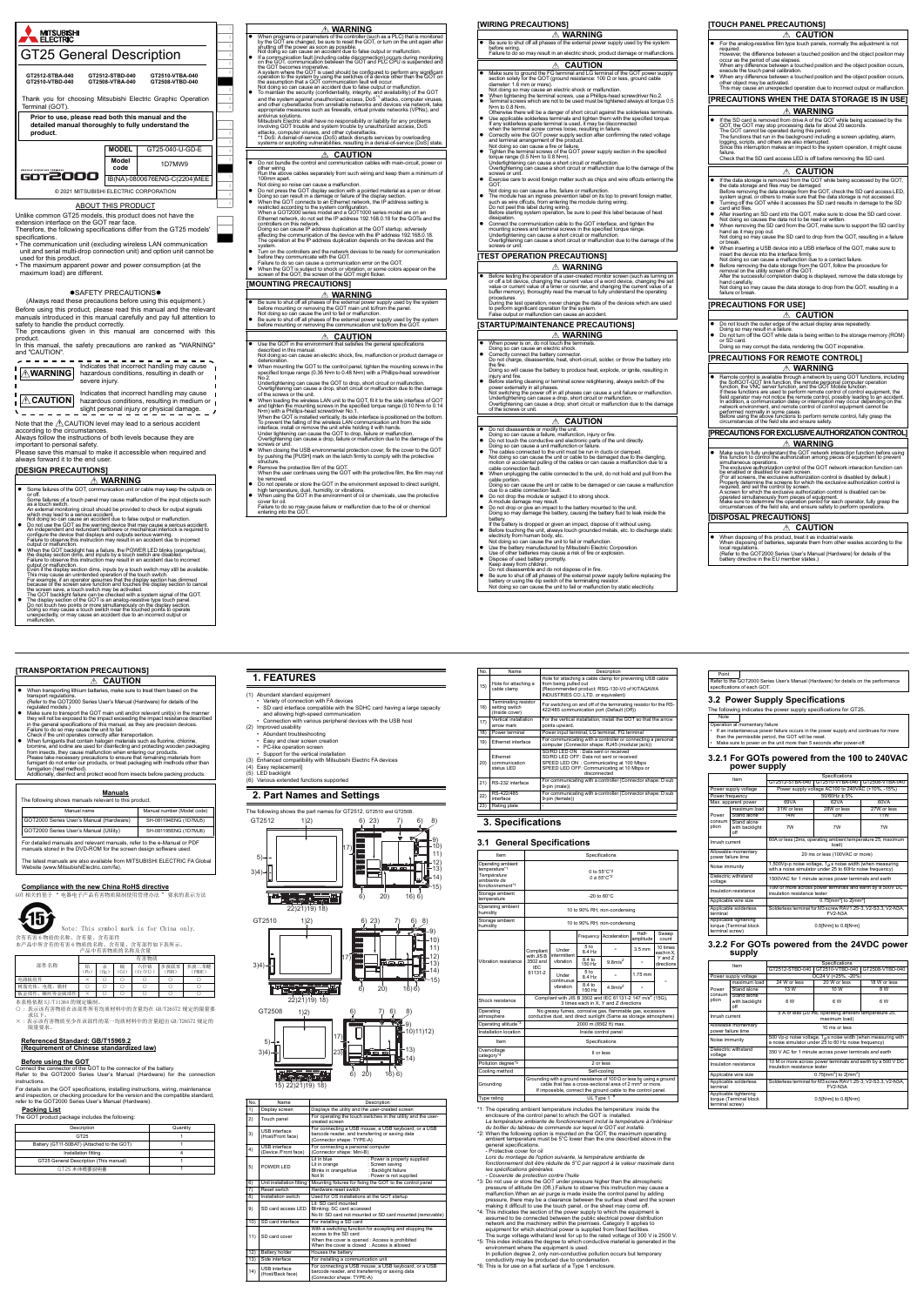### **Manuals** The following shows manuals relevant to this product. For detailed manuals and relevant manuals, refer to the e-Manual or PDF manuals stored in the DVD-ROM for the screen design software used. The latest manuals are also available from MITSUBISHI ELECTRIC FA Global Website (www.MitsubishiElectric.com/fa). Manual name Manual number (Model code) GOT2000 Series User's Manual (Hardware) SH-081194ENG (1D7MJ5) GOT2000 Series User's Manual (Utility) SH-081195ENG (1D7MJ6)

- (1) Abundant standard equipment<br>• Variety of connection with FA devices<br>• SD card interface compatible with the SDHC card having a large capacity<br>• and allowing high-speed communication<br>• Connection with various peripheral
- 
- 
- (2) Improved usability Abundant troubleshooting Easy and clear screen creation PC-like operation screen Support for the vertical installation
- Figure uper autori screen<br>Support for the vertical installation<br>Enhanced compatibility with Mitsubishi Electric FA devices
- 
- (4) Easy replacement] (5) LED backlight (6) Various extended functions supported

 $3)4$ )-



- les p*eferications générales.*<br>Couvercie de protection contre l'huile<br>\*3: Do not use or store the GOT under pressure higher than the atmospheric<br>\*3: Do not use or store the GOT under pressure this instruction may cause<br>ma
- pressure, there may be a clearance between the surface sheet and the screen<br>making it difficult to use the touch panel, or the sheet may come off.<br>"4: This indicates the section of the power supply to which the equipment i
- 
- 
- conductivity may be produced due to condensation. \*6: This is for use on a flat surface of a Type 1 enclosure.

The following indicates the power supply specifications for GT25. Note tary failure

### **[TRANSPORTATION PRECAUTIONS]**

<u>**Δ CAUTION** 1. FEATURES</u>

### **Compliance with the new China RoHS directive** GOT 相关的基于 " 电器电子产品有害物质限制使用管理办法 " 要求的表示方法

出

- : 表示该有害物质在该部件所有均质材料中的含量均在 GB/T26572 规定的限量要 求以下。 × : 表示该有害物质至少在该部件的某一均质材料中的含量超出 GB/T26572 规定的
- 限量要求。

### **Referenced Standard: GB/T15969.2 (Requirement of Chinese standardized law)**

### **Before using the GOT**

Connect the connector of the GOT to the connector of the battery. Refer to the GOT2000 Series User's Manual (Hardware) for the connection instructions.

For details on the GOT specifications, installing instructions, wiring, maintenance and inspection, or checking procedure for the version and the compatible standard, refer to the GOT2000 Series User's Manual (Hardware).

#### **Packing List**

 $\overline{\frac{1}{1}}$  package includes the following

含有有害 6 物质的名称、含有量、含有部件 本产品中所含有的有害 6 物质的名称、含有量、含有部件如下表所示。 产品中有害物质的名称及含量 Note: This symbol mark is for China only.

- When transporting lithium batteries, make sure to treat them based on the transport regulations. (Refer to the GOT2000 Series User's Manual (Hardware) for details of the
- regulated models.)<br>
The Make sure to transport the GOT main unit and/or relevant unit(s) in the manner<br>
they will not be exposed to the impact exceeding the impact resistance described<br>
Failure to do so may cause the unit
- When fumigants that contain halogen materials such as fluorine, chlorine, bromine, and iodine are used for disinfecting and protecting wooden packaging from insects, they cause malfunction when entering our products. Please take necessary precautions to ensure that remaining materials from fumigant do not enter our products, or treat packaging with methods other than
- fumigation (heat method). Additionally, disinfect and protect wood from insects before packing products.



| - 111.5% \<br>J2544 |  |  |  |  |
|---------------------|--|--|--|--|
| 、螺丝等金属部件<br>板金部件、   |  |  |  |  |

本表格依据 SJ/T11364 的规定编制<br>○·表示该有害物质在该部件所有

| Description                                | Quantity |
|--------------------------------------------|----------|
| GT <sub>25</sub>                           |          |
| Battery (GT11-50BAT) (Attached to the GOT) |          |
| Installation fitting                       |          |
| GT25 General Description (This manual)     |          |
| GT25 本体概要説明書                               |          |

### **2. Part Names and Settings**

| No.            | <b>Name</b>                                  | Description                                                                                                                                                                          |  |  |
|----------------|----------------------------------------------|--------------------------------------------------------------------------------------------------------------------------------------------------------------------------------------|--|--|
| $\overline{1}$ | Display screen                               | Displays the utility and the user-created screen                                                                                                                                     |  |  |
| 2)             | Touch panel                                  | For operating the touch switches in the utility and the user-<br>created screen                                                                                                      |  |  |
| 3)             | <b>USB</b> interface<br>(Host/Front face)    | For connecting a USB mouse, a USB keyboard, or a USB<br>barcode reader, and transferring or saving data<br>(Connector shape: TYPE-A)                                                 |  |  |
| 4)             | <b>USB</b> interface<br>(Device /Front face) | For connecting a personal computer<br>(Connector shape: Mini-B)                                                                                                                      |  |  |
| 5)             | POWER I FD                                   | I it in hlue<br>: Power is properly supplied<br>: Screen saving<br>Lit in orange<br>Blinks in orange/blue<br>: Backlight failure<br>: Power is not supplied<br>Not lit               |  |  |
| 6)             | Unit installation fitting                    | Mounting fixtures for fixing the GOT to the control panel                                                                                                                            |  |  |
| 7)             | Reset switch                                 | Hardware reset switch                                                                                                                                                                |  |  |
| 8)             | Installation switch                          | Used for OS installations at the GOT startup                                                                                                                                         |  |  |
| 9)             | SD card access LED                           | Lit: SD card mounted<br>Blinking: SC card accessed<br>No lit: SD card not mounted or SD card mounted (removable)                                                                     |  |  |
| 10)            | SD card interface                            | For installing a SD card                                                                                                                                                             |  |  |
| 11)            | SD card cover                                | With a switching function for accepting and stopping the<br>access to the SD card<br>When the cover is opened : Access is prohibited<br>When the cover is closed : Access is allowed |  |  |
| 12)            | Battery holder                               | Houses the battery                                                                                                                                                                   |  |  |
| 13)            | Side interface                               | For installing a communication unit                                                                                                                                                  |  |  |
| (14)           | <b>USB</b> interface<br>(Host/Back face)     | For connecting a USB mouse, a USB keyboard, or a USB<br>barcode reader, and transferring or saving data<br>(Connector shape: TYPE-A)                                                 |  |  |

- \*1: The operating ambient temperature includes the temperature inside the<br>enclosure of the control panel to which the GOT is installed.<br>La température ambiante de fonctionnement inclut la température à l'intérieur<br>du boiti
- "2: When the following option is mounted on the GOT, the maximum operating<br>ambient temperature must be 5°C lower than the one described above in the<br>general specifications.<br>- Protective cover for oil<br>Lors du montage de l'



15)





| Item                                                                                             |                                                                   | Specifications                                                                                                                |                            |                                                                                                                                                                                                                      |                    |                        |  |
|--------------------------------------------------------------------------------------------------|-------------------------------------------------------------------|-------------------------------------------------------------------------------------------------------------------------------|----------------------------|----------------------------------------------------------------------------------------------------------------------------------------------------------------------------------------------------------------------|--------------------|------------------------|--|
| Operating ambient<br>temperature*1<br>Température<br>ambiante de<br>fonctionnement <sup>*1</sup> |                                                                   | 0 to 55°C <sup>*2</sup><br>$0A.55^{\circ}$ C <sup>*2</sup>                                                                    |                            |                                                                                                                                                                                                                      |                    |                        |  |
| Storage ambient<br>temperature                                                                   |                                                                   |                                                                                                                               |                            | $-20$ to $60^{\circ}$ C                                                                                                                                                                                              |                    |                        |  |
| Operating ambient<br>humidity                                                                    |                                                                   |                                                                                                                               |                            | 10 to 90% RH, non-condensing                                                                                                                                                                                         |                    |                        |  |
| Storage ambient<br>humidity                                                                      |                                                                   | 10 to 90% RH, non-condensing                                                                                                  |                            |                                                                                                                                                                                                                      |                    |                        |  |
|                                                                                                  |                                                                   |                                                                                                                               |                            | Frequency Acceleration                                                                                                                                                                                               | Half-<br>amplitude | Sweep<br>count         |  |
|                                                                                                  | Compliant<br>with JIS <sub>B</sub><br>3502 and<br>IFC.<br>61131-2 | Under<br>intermittent<br>vibration                                                                                            | 5 <sub>to</sub><br>8.4 Hz  |                                                                                                                                                                                                                      | $3.5$ mm           | 10 times<br>each in X. |  |
| Vibration resistance                                                                             |                                                                   |                                                                                                                               | $8.4 \text{ to}$<br>150 Hz | $9.8$ m/s <sup>2</sup>                                                                                                                                                                                               |                    | Y and 7<br>directions  |  |
|                                                                                                  |                                                                   | Under<br>continuous                                                                                                           | 5 <sub>to</sub><br>8.4 Hz  |                                                                                                                                                                                                                      | 1.75 mm            |                        |  |
|                                                                                                  |                                                                   | vibration                                                                                                                     | 8.4 to<br>150 Hz           | 4.9 <sub>m/s</sub> <sup>2</sup>                                                                                                                                                                                      |                    |                        |  |
| Shock resistance                                                                                 |                                                                   | Compliant with JIS B 3502 and IEC 61131-2 147 m/s <sup>2</sup> (15G),<br>3 times each in X, Y and Z directions                |                            |                                                                                                                                                                                                                      |                    |                        |  |
| Operating<br>atmosphere                                                                          |                                                                   | No greasy fumes, corrosive gas, flammable gas, excessive<br>conductive dust, and direct sunlight (Same as storage atmosphere) |                            |                                                                                                                                                                                                                      |                    |                        |  |
| Operating altitude <sup>*3</sup>                                                                 |                                                                   |                                                                                                                               |                            | 2000 m (6562 ft) max.                                                                                                                                                                                                |                    |                        |  |
| Installation location                                                                            |                                                                   |                                                                                                                               |                            | Inside control panel                                                                                                                                                                                                 |                    |                        |  |
| Item                                                                                             |                                                                   | Specifications                                                                                                                |                            |                                                                                                                                                                                                                      |                    |                        |  |
| Overvoltage<br>category <sup>*4</sup>                                                            | II or less                                                        |                                                                                                                               |                            |                                                                                                                                                                                                                      |                    |                        |  |
| Pollution degree*5                                                                               | 2 or less                                                         |                                                                                                                               |                            |                                                                                                                                                                                                                      |                    |                        |  |
| Cooling method                                                                                   |                                                                   |                                                                                                                               |                            | Self-cooling                                                                                                                                                                                                         |                    |                        |  |
| Grounding                                                                                        |                                                                   |                                                                                                                               |                            | Grounding with a ground resistance of 100 $\Omega$ or less by using a ground<br>cable that has a cross-sectional area of 2 mm <sup>2</sup> or more.<br>If impossible, connect the ground cable to the control panel. |                    |                        |  |
| Type rating                                                                                      |                                                                   |                                                                                                                               |                            | UL Type 1 <sup>16</sup>                                                                                                                                                                                              |                    |                        |  |

| No. | <b>Name</b>                                                     | Description                                                                                                                                                                                  |
|-----|-----------------------------------------------------------------|----------------------------------------------------------------------------------------------------------------------------------------------------------------------------------------------|
| 15) | Hole for attaching a<br>cable clamp                             | Hole for attaching a cable clamp for preventing USB cable<br>from being pulled out<br>(Recommended product: RSG-130-V0 of KITAGAWA<br>INDUSTRIES CO., LTD. or equivalent)                    |
| 16) | <b>Terminating resistor</b><br>setting switch<br>(Inside cover) | For switching on and off of the terminating resistor for the RS-<br>422/485 communication port (Default (Off))                                                                               |
| 17) | Vertical installation<br>arrow mark                             | For the vertical installation, install the GOT so that the arrow<br>points upward.                                                                                                           |
| 18) | Power terminal                                                  | Power input terminal. LG terminal. FG terminal                                                                                                                                               |
| 19) | <b>Ethernet interface</b>                                       | For communicating with a controller or connecting a personal<br>computer (Connector shape: RJ45 (modular jack))                                                                              |
| 20) | Ethernet<br>communication<br>status I FD                        | SD/RD I FD ON : Data sent or received<br>SD/RD I ED OFF: Data not sent or received<br>SPEED LED ON : Communicating at 100 Mbps<br>SPEED LED OFF: Communicating at 10 Mbps or<br>disconnected |
| 21) | RS-232 interface                                                | For communicating with a controller (Connector shape: D sub<br>9-pin (male))                                                                                                                 |
| 22) | RS-422/485<br>interface                                         | For communicating with a controller (Connector shape: D sub<br>9-pin (female))                                                                                                               |
| 23) | Rating plate                                                    |                                                                                                                                                                                              |

### **3.2 Power Supply Specifications**

# **3.2.1 For GOTs powered from the 100 to 240VAC power supply**

# **3.2.2 For GOTs powered from the 24VDC power supply**

# Point Refer to the GOT2000 Series User's Manual (Hardware) for details on the performance specifications of each GOT.

• If an instantaneous power failure occurs in the power supply and continues for more than the permissible period, the GOT will be reset. • Make sure to power on the unit more than 5 seconds after power-off.

|                                                                    | <b>POWER SUPPIY</b>                  |                                                                                                                           |                     |                                 |  |  |  |  |
|--------------------------------------------------------------------|--------------------------------------|---------------------------------------------------------------------------------------------------------------------------|---------------------|---------------------------------|--|--|--|--|
|                                                                    | Item                                 |                                                                                                                           | Specifications      |                                 |  |  |  |  |
|                                                                    |                                      | GT2512-STBA-040                                                                                                           |                     | GT2510-VTBA-040 GT2508-VTBA-040 |  |  |  |  |
| Power supply voltage                                               |                                      | Power supply voltage AC100 to 240VAC (+10%, -15%)                                                                         |                     |                                 |  |  |  |  |
| Power frequency                                                    |                                      |                                                                                                                           | $50/60$ Hz $\pm 5%$ |                                 |  |  |  |  |
| Max. apparent power                                                |                                      | 69VA                                                                                                                      | 62VA                | 60VA                            |  |  |  |  |
|                                                                    | maximum load                         | 31W or less                                                                                                               | 28W or less         | 27W or less                     |  |  |  |  |
| Power                                                              | Stand alone                          | 14W                                                                                                                       | <b>12W</b>          | <b>11W</b>                      |  |  |  |  |
| consum<br>ption                                                    | Stand alone<br>with backlight<br>off | 7W                                                                                                                        | 7W                  | 7W                              |  |  |  |  |
| Inrush current                                                     |                                      | 60A or less (2ms, operating ambient temperature 25, maximum<br>load)                                                      |                     |                                 |  |  |  |  |
| Allowable momentary<br>power failure time                          |                                      | 20 ms or less (100VAC or more)                                                                                            |                     |                                 |  |  |  |  |
| Noise immunitv                                                     |                                      | 1,500Vp-p noise voltage, $1\mu s$ noise width (when measuring<br>with a noise simulator under 25 to 60Hz noise frequency) |                     |                                 |  |  |  |  |
| Dielectric withstand<br>voltage                                    |                                      | 1500VAC for 1 minute across power terminals and earth                                                                     |                     |                                 |  |  |  |  |
| Insulation resistance                                              |                                      | 10M or more across power terminals and earth by a 500V DC<br>insulation resistance tester                                 |                     |                                 |  |  |  |  |
| Applicable wire size                                               |                                      | 0.75 $\text{mm}^2$ ] to 2 $\text{mm}^2$ ]                                                                                 |                     |                                 |  |  |  |  |
| Applicable solderless<br>terminal                                  |                                      | Solderless terminal for M3 screw RAV1.25-3, V2-S3.3, V2-N3A,<br><b>FV2-N3A</b>                                            |                     |                                 |  |  |  |  |
| Applicable tightening<br>torque (Terminal block<br>terminal screw) |                                      | 0.5[N-m] to 0.8[N-m]                                                                                                      |                     |                                 |  |  |  |  |

|                                                                    | Item                                 |                                                                                                                          | Specifications  |                 |  |  |
|--------------------------------------------------------------------|--------------------------------------|--------------------------------------------------------------------------------------------------------------------------|-----------------|-----------------|--|--|
|                                                                    |                                      | GT2512-STBD-040                                                                                                          | GT2510-VTBD-040 | GT2508-VTBD-040 |  |  |
| Power supply voltage                                               |                                      | DC24 V (+25%, -20%)                                                                                                      |                 |                 |  |  |
|                                                                    | maximum load                         | 24 W or less                                                                                                             | 20 W or less    | 18 W or less    |  |  |
| Power                                                              | Stand alone                          | 13 W                                                                                                                     | 10 W            | 8W              |  |  |
| consum<br>ption                                                    | Stand alone<br>with backlight<br>off | 6W                                                                                                                       | 6W              | 6 W             |  |  |
| Inrush current                                                     |                                      | 5 A or less (20 ms, operating ambient temperature 25,<br>maximum load)                                                   |                 |                 |  |  |
| Allowable momentary<br>power failure time                          |                                      | 10 ms or less                                                                                                            |                 |                 |  |  |
| Noise immunity                                                     |                                      | 500 Vp-p noise voltage, $1_H$ s noise width (when measuring with<br>a noise simulator under 25 to 60 Hz noise frequency) |                 |                 |  |  |
| Dielectric withstand<br>voltage                                    |                                      | 350 V AC for 1 minute across power terminals and earth                                                                   |                 |                 |  |  |
| Insulation resistance                                              |                                      | 10 M or more across power terminals and earth by a 500 V DC<br>insulation resistance tester                              |                 |                 |  |  |
| Applicable wire size                                               |                                      | 0.75[mm <sup>2</sup> ] to 2[mm <sup>2</sup> ]                                                                            |                 |                 |  |  |
| Applicable solderless<br>terminal                                  |                                      | Solderless terminal for M3 screw RAV1.25-3, V2-S3.3, V2-N3A,<br><b>FV2-N3A</b>                                           |                 |                 |  |  |
| Applicable tightening<br>torque (Terminal block<br>terminal screw) |                                      | 0.5[N-m] to 0.8[N-m]                                                                                                     |                 |                 |  |  |